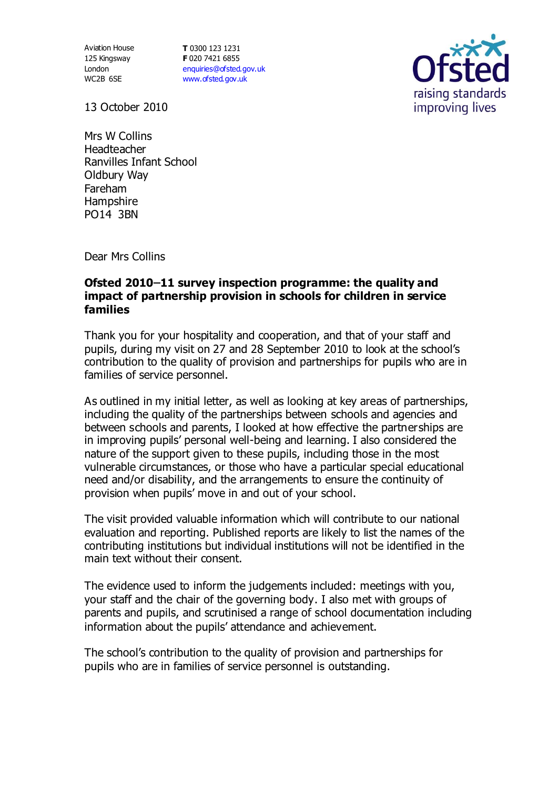Aviation House 125 Kingsway London WC2B 6SE

**T** 0300 123 1231 **F** 020 7421 6855 [enquiries@ofsted.gov.uk](mailto:enquiries@ofsted.gov.uk) [www.ofsted.gov.uk](http://www.ofsted.gov.uk/)



13 October 2010

Mrs W Collins Headteacher Ranvilles Infant School Oldbury Way Fareham **Hampshire** PO14 3BN

Dear Mrs Collins

## **Ofsted 2010–11 survey inspection programme: the quality and impact of partnership provision in schools for children in service families**

Thank you for your hospitality and cooperation, and that of your staff and pupils, during my visit on 27 and 28 September 2010 to look at the school's contribution to the quality of provision and partnerships for pupils who are in families of service personnel.

As outlined in my initial letter, as well as looking at key areas of partnerships, including the quality of the partnerships between schools and agencies and between schools and parents, I looked at how effective the partnerships are in improving pupils' personal well-being and learning. I also considered the nature of the support given to these pupils, including those in the most vulnerable circumstances, or those who have a particular special educational need and/or disability, and the arrangements to ensure the continuity of provision when pupils' move in and out of your school.

The visit provided valuable information which will contribute to our national evaluation and reporting. Published reports are likely to list the names of the contributing institutions but individual institutions will not be identified in the main text without their consent.

The evidence used to inform the judgements included: meetings with you, your staff and the chair of the governing body. I also met with groups of parents and pupils, and scrutinised a range of school documentation including information about the pupils' attendance and achievement.

The school's contribution to the quality of provision and partnerships for pupils who are in families of service personnel is outstanding.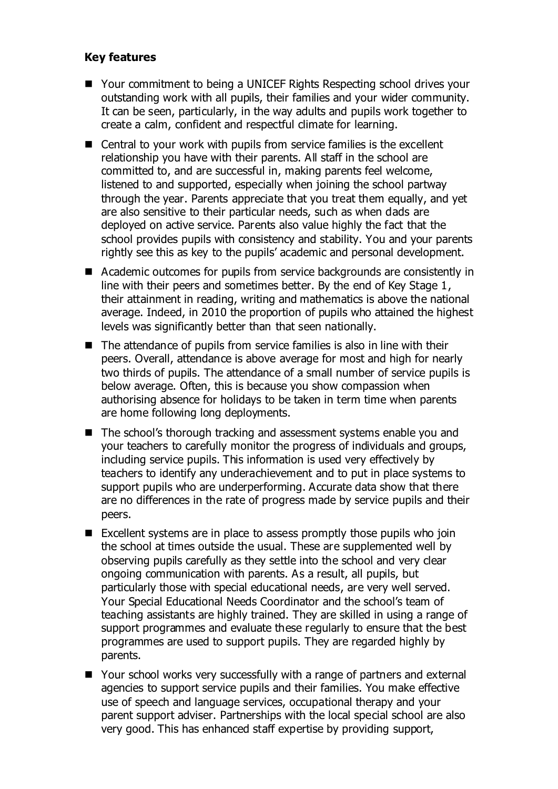## **Key features**

- Your commitment to being a UNICEF Rights Respecting school drives your outstanding work with all pupils, their families and your wider community. It can be seen, particularly, in the way adults and pupils work together to create a calm, confident and respectful climate for learning.
- Central to your work with pupils from service families is the excellent relationship you have with their parents. All staff in the school are committed to, and are successful in, making parents feel welcome, listened to and supported, especially when joining the school partway through the year. Parents appreciate that you treat them equally, and yet are also sensitive to their particular needs, such as when dads are deployed on active service. Parents also value highly the fact that the school provides pupils with consistency and stability. You and your parents rightly see this as key to the pupils' academic and personal development.
- Academic outcomes for pupils from service backgrounds are consistently in line with their peers and sometimes better. By the end of Key Stage 1, their attainment in reading, writing and mathematics is above the national average. Indeed, in 2010 the proportion of pupils who attained the highest levels was significantly better than that seen nationally.
- The attendance of pupils from service families is also in line with their peers. Overall, attendance is above average for most and high for nearly two thirds of pupils. The attendance of a small number of service pupils is below average. Often, this is because you show compassion when authorising absence for holidays to be taken in term time when parents are home following long deployments.
- The school's thorough tracking and assessment systems enable you and your teachers to carefully monitor the progress of individuals and groups, including service pupils. This information is used very effectively by teachers to identify any underachievement and to put in place systems to support pupils who are underperforming. Accurate data show that there are no differences in the rate of progress made by service pupils and their peers.
- $\blacksquare$  Excellent systems are in place to assess promptly those pupils who join the school at times outside the usual. These are supplemented well by observing pupils carefully as they settle into the school and very clear ongoing communication with parents. As a result, all pupils, but particularly those with special educational needs, are very well served. Your Special Educational Needs Coordinator and the school's team of teaching assistants are highly trained. They are skilled in using a range of support programmes and evaluate these regularly to ensure that the best programmes are used to support pupils. They are regarded highly by parents.
- Your school works very successfully with a range of partners and external agencies to support service pupils and their families. You make effective use of speech and language services, occupational therapy and your parent support adviser. Partnerships with the local special school are also very good. This has enhanced staff expertise by providing support,